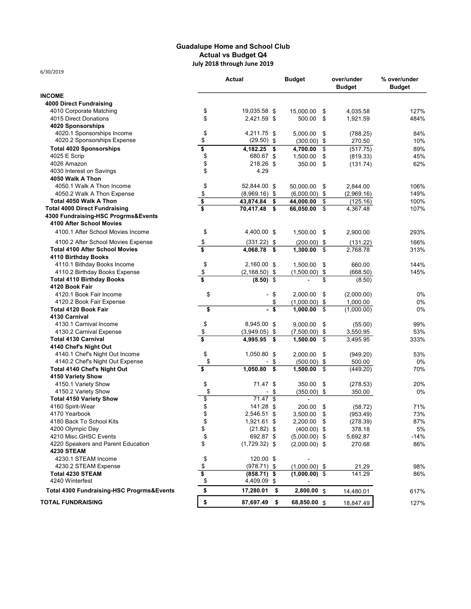## Guadalupe Home and School Club Actual vs Budget Q4 July 2018 through June 2019

|                                           | Actual                               | <b>Budget</b>     | over/under<br><b>Budget</b> | % over/under<br><b>Budget</b> |
|-------------------------------------------|--------------------------------------|-------------------|-----------------------------|-------------------------------|
| <b>INCOME</b>                             |                                      |                   |                             |                               |
| <b>4000 Direct Fundraising</b>            |                                      |                   |                             |                               |
| 4010 Corporate Matching                   | \$<br>19,035.58 \$                   | 15,000.00         | 4,035.58<br>\$              | 127%                          |
| 4015 Direct Donations                     | \$<br>2,421.59 \$                    | 500.00            | \$<br>1,921.59              | 484%                          |
| 4020 Sponsorships                         |                                      |                   |                             |                               |
| 4020.1 Sponsorships Income                | \$<br>4,211.75 \$                    | 5,000.00          | \$<br>(788.25)              | 84%                           |
| 4020.2 Sponsorships Expense               | \$<br>$(29.50)$ \$                   | $(300.00)$ \$     | 270.50                      | 10%                           |
| <b>Total 4020 Sponsorships</b>            | \$<br>4,182.25 \$                    | 4,700.00          | \$<br>(517.75)              | 89%                           |
| 4025 E Scrip                              | \$<br>680.67 \$                      | 1,500.00          | \$<br>(819.33)              | 45%                           |
| 4026 Amazon                               | \$<br>218.26 \$                      | 350.00            | \$<br>(131.74)              | 62%                           |
| 4030 Interest on Savings                  | \$<br>4.29                           |                   |                             |                               |
| 4050 Walk A Thon                          |                                      |                   |                             |                               |
| 4050.1 Walk A Thon Income                 | \$<br>52,844.00 \$                   | 50,000.00         | \$<br>2,844.00              | 106%                          |
| 4050.2 Walk A Thon Expense                | \$<br>$(8,969.16)$ \$                | $(6,000.00)$ \$   | (2,969.16)                  | 149%                          |
| Total 4050 Walk A Thon                    | \$<br>43,874.84<br>\$                | 44,000.00         | \$<br>(125.16)              | 100%                          |
| <b>Total 4000 Direct Fundraising</b>      | 70,417.48<br>- \$                    | 66,050.00         | \$<br>4,367.48              | 107%                          |
| 4300 Fundraising-HSC Progrms&Events       |                                      |                   |                             |                               |
| 4100 After School Movies                  |                                      |                   |                             |                               |
| 4100.1 After School Movies Income         | \$<br>4,400.00 \$                    | 1,500.00          | 2,900.00<br>-\$             | 293%                          |
|                                           |                                      |                   |                             |                               |
| 4100.2 After School Movies Expense        | \$<br>$(331.22)$ \$                  | $(200.00)$ \$     | (131.22)                    | 166%                          |
| <b>Total 4100 After School Movies</b>     | \$<br>4,068.78<br>\$                 | 1,300.00          | \$<br>2,768.78              | 313%                          |
| 4110 Birthday Books                       |                                      |                   |                             |                               |
| 4110.1 Bithday Books Income               | \$<br>2,160.00 \$                    | 1,500.00          | \$<br>660.00                | 144%                          |
| 4110.2 Birthday Books Expense             | \$<br>$(2, 168.50)$ \$               | $(1,500.00)$ \$   | (668.50)                    | 145%                          |
| <b>Total 4110 Birthday Books</b>          | \$<br>$(8.50)$ \$                    |                   | \$<br>(8.50)                |                               |
| 4120 Book Fair                            |                                      |                   |                             |                               |
| 4120.1 Book Fair Income                   | \$<br>\$                             | 2,000.00          | \$<br>(2,000.00)            | 0%                            |
| 4120.2 Book Fair Expense                  | \$                                   | $(1,000.00)$ \$   | 1,000.00                    | 0%                            |
| <b>Total 4120 Book Fair</b>               | \$<br>\$<br>$\overline{\phantom{0}}$ | 1,000.00          | \$<br>(1,000.00)            | 0%                            |
| 4130 Carnival                             |                                      |                   |                             |                               |
| 4130.1 Carnival Income                    | \$<br>8,945.00 \$                    | 9,000.00          | \$<br>(55.00)               | 99%                           |
| 4130.2 Carnival Expense                   | \$<br>$(3,949.05)$ \$                | $(7,500.00)$ \$   | 3,550.95                    | 53%                           |
| <b>Total 4130 Carnival</b>                | \$<br>4,995.95<br>\$                 | 1,500.00          | \$<br>3,495.95              | 333%                          |
| 4140 Chef's Night Out                     |                                      |                   |                             |                               |
| 4140.1 Chef's Night Out Income            | \$<br>1,050.80 \$                    | 2,000.00          | \$<br>(949.20)              | 53%                           |
| 4140.2 Chef's Night Out Expense           | \$<br>\$                             | $(500.00)$ \$     | 500.00                      | 0%                            |
| Total 4140 Chef's Night Out               | \$<br>1,050.80<br>\$                 | 1,500.00          | (449.20)<br>\$              | 70%                           |
| 4150 Variety Show                         |                                      |                   |                             |                               |
| 4150.1 Variety Show                       | \$<br>71.47 \$                       | 350.00            | \$<br>(278.53)              | 20%                           |
| 4150.2 Variety Show                       | \$<br>\$                             | $(350.00)$ \$     | 350.00                      | 0%                            |
| <b>Total 4150 Variety Show</b>            | \$<br>$71.47$ \$                     |                   |                             |                               |
| 4160 Spirit-Wear                          | \$<br>141.28 \$                      | 200.00            | \$<br>(58.72)               | 71%                           |
| 4170 Yearbook                             | \$<br>2,546.51 \$                    | 3,500.00          | \$<br>(953.49)              | 73%                           |
| 4180 Back To School Kits                  | \$<br>1,921.61 \$                    | 2,200.00 \$       | (278.39)                    | 87%                           |
| 4200 Olympic Day                          | \$<br>$(21.82)$ \$                   | $(400.00)$ \$     | 378.18                      | 5%                            |
| 4210 Misc.GHSC Events                     | \$<br>692.87 \$                      | $(5,000.00)$ \$   | 5,692.87                    | -14%                          |
| 4220 Speakers and Parent Education        | \$<br>$(1,729.32)$ \$                | $(2,000.00)$ \$   | 270.68                      | 86%                           |
| <b>4230 STEAM</b>                         |                                      |                   |                             |                               |
| 4230.1 STEAM Income                       | \$<br>120.00 \$                      |                   |                             |                               |
| 4230.2 STEAM Expense                      | \$<br>$(978.71)$ \$                  | $(1,000.00)$ \$   | 21.29                       | 98%                           |
| <b>Total 4230 STEAM</b>                   | \$<br>$(858.71)$ \$                  | $(1,000.00)$ \$   | 141.29                      | 86%                           |
| 4240 Winterfest                           | \$<br>4,409.09 \$                    |                   |                             |                               |
| Total 4300 Fundraising-HSC Progrms&Events | \$<br>17,280.01                      | 2,800.00 \$<br>\$ | 14,480.01                   | 617%                          |
| <b>TOTAL FUNDRAISING</b>                  | \$<br>87,697.49 \$                   | 68,850.00 \$      | 18,847.49                   | 127%                          |

6/30/2019